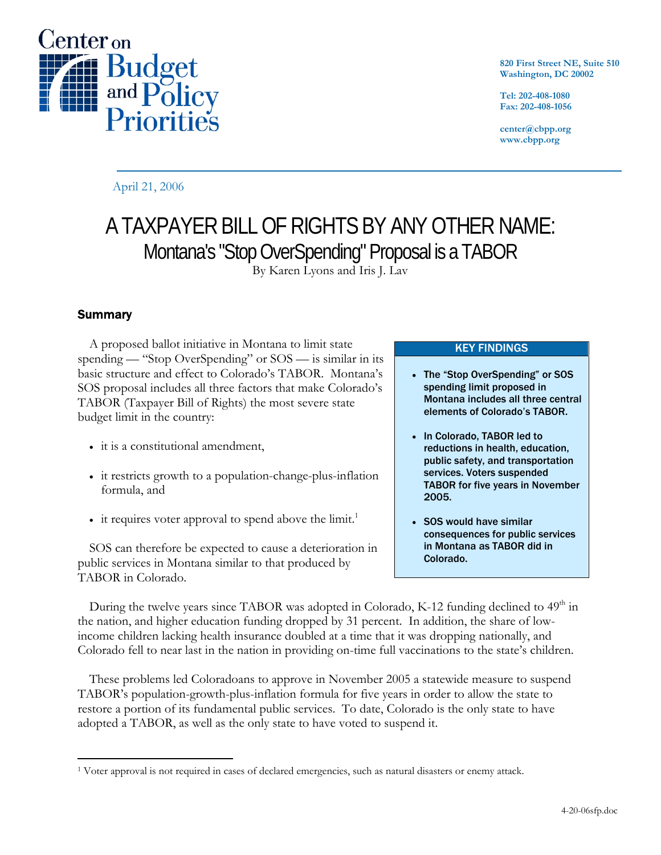

**820 First Street NE, Suite 510 Washington, DC 20002** 

**Tel: 202-408-1080 Fax: 202-408-1056** 

**center@cbpp.org www.cbpp.org** 

April 21, 2006

# A TAXPAYER BILL OF RIGHTS BY ANY OTHER NAME: Montana's "Stop OverSpending" Proposal is a TABOR

By Karen Lyons and Iris J. Lav

# **Summary**

A proposed ballot initiative in Montana to limit state spending — "Stop OverSpending" or SOS — is similar in its basic structure and effect to Colorado's TABOR. Montana's SOS proposal includes all three factors that make Colorado's TABOR (Taxpayer Bill of Rights) the most severe state budget limit in the country:

- it is a constitutional amendment,
- it restricts growth to a population-change-plus-inflation formula, and
- $\bullet$  it requires voter approval to spend above the limit.<sup>1</sup>

SOS can therefore be expected to cause a deterioration in public services in Montana similar to that produced by TABOR in Colorado.

KEY FINDINGS

- The "Stop OverSpending" or SOS spending limit proposed in Montana includes all three central elements of Colorado's TABOR.
- In Colorado, TABOR led to reductions in health, education, public safety, and transportation services. Voters suspended TABOR for five years in November 2005.
- SOS would have similar consequences for public services in Montana as TABOR did in Colorado.

During the twelve years since TABOR was adopted in Colorado, K-12 funding declined to 49<sup>th</sup> in the nation, and higher education funding dropped by 31 percent. In addition, the share of lowincome children lacking health insurance doubled at a time that it was dropping nationally, and Colorado fell to near last in the nation in providing on-time full vaccinations to the state's children.

These problems led Coloradoans to approve in November 2005 a statewide measure to suspend TABOR's population-growth-plus-inflation formula for five years in order to allow the state to restore a portion of its fundamental public services. To date, Colorado is the only state to have adopted a TABOR, as well as the only state to have voted to suspend it.

 $\overline{a}$ 1 Voter approval is not required in cases of declared emergencies, such as natural disasters or enemy attack.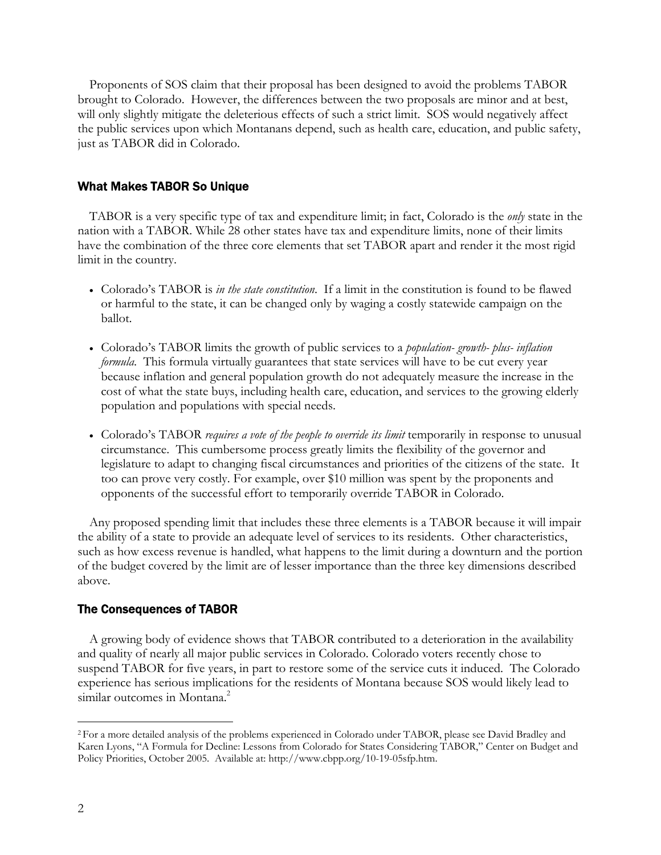Proponents of SOS claim that their proposal has been designed to avoid the problems TABOR brought to Colorado. However, the differences between the two proposals are minor and at best, will only slightly mitigate the deleterious effects of such a strict limit. SOS would negatively affect the public services upon which Montanans depend, such as health care, education, and public safety, just as TABOR did in Colorado.

### What Makes TABOR So Unique

 TABOR is a very specific type of tax and expenditure limit; in fact, Colorado is the *only* state in the nation with a TABOR. While 28 other states have tax and expenditure limits, none of their limits have the combination of the three core elements that set TABOR apart and render it the most rigid limit in the country.

- Colorado's TABOR is *in the state constitution*. If a limit in the constitution is found to be flawed or harmful to the state, it can be changed only by waging a costly statewide campaign on the ballot.
- Colorado's TABOR limits the growth of public services to a *population- growth- plus- inflation formula*. This formula virtually guarantees that state services will have to be cut every year because inflation and general population growth do not adequately measure the increase in the cost of what the state buys, including health care, education, and services to the growing elderly population and populations with special needs.
- Colorado's TABOR *requires a vote of the people to override its limit* temporarily in response to unusual circumstance. This cumbersome process greatly limits the flexibility of the governor and legislature to adapt to changing fiscal circumstances and priorities of the citizens of the state. It too can prove very costly. For example, over \$10 million was spent by the proponents and opponents of the successful effort to temporarily override TABOR in Colorado.

 Any proposed spending limit that includes these three elements is a TABOR because it will impair the ability of a state to provide an adequate level of services to its residents. Other characteristics, such as how excess revenue is handled, what happens to the limit during a downturn and the portion of the budget covered by the limit are of lesser importance than the three key dimensions described above.

#### The Consequences of TABOR

A growing body of evidence shows that TABOR contributed to a deterioration in the availability and quality of nearly all major public services in Colorado. Colorado voters recently chose to suspend TABOR for five years, in part to restore some of the service cuts it induced. The Colorado experience has serious implications for the residents of Montana because SOS would likely lead to similar outcomes in Montana.<sup>2</sup>

 $\overline{a}$ 

<sup>2</sup> For a more detailed analysis of the problems experienced in Colorado under TABOR, please see David Bradley and Karen Lyons, "A Formula for Decline: Lessons from Colorado for States Considering TABOR," Center on Budget and Policy Priorities, October 2005. Available at: http://www.cbpp.org/10-19-05sfp.htm.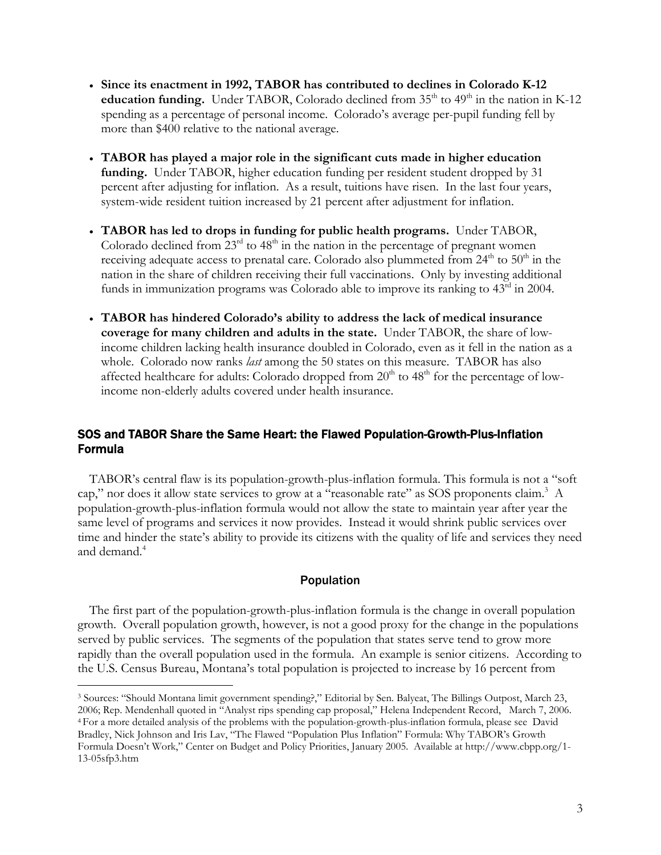- **Since its enactment in 1992, TABOR has contributed to declines in Colorado K-12 education funding.** Under TABOR, Colorado declined from  $35<sup>th</sup>$  to  $49<sup>th</sup>$  in the nation in K-12 spending as a percentage of personal income. Colorado's average per-pupil funding fell by more than \$400 relative to the national average.
- **TABOR has played a major role in the significant cuts made in higher education funding.** Under TABOR, higher education funding per resident student dropped by 31 percent after adjusting for inflation. As a result, tuitions have risen. In the last four years, system-wide resident tuition increased by 21 percent after adjustment for inflation.
- **TABOR has led to drops in funding for public health programs.** Under TABOR, Colorado declined from  $23<sup>rd</sup>$  to  $48<sup>th</sup>$  in the nation in the percentage of pregnant women receiving adequate access to prenatal care. Colorado also plummeted from  $24<sup>th</sup>$  to  $50<sup>th</sup>$  in the nation in the share of children receiving their full vaccinations. Only by investing additional funds in immunization programs was Colorado able to improve its ranking to  $43<sup>rd</sup>$  in 2004.
- **TABOR has hindered Colorado's ability to address the lack of medical insurance coverage for many children and adults in the state.** Under TABOR, the share of lowincome children lacking health insurance doubled in Colorado, even as it fell in the nation as a whole. Colorado now ranks *last* among the 50 states on this measure. TABOR has also affected healthcare for adults: Colorado dropped from  $20<sup>th</sup>$  to  $48<sup>th</sup>$  for the percentage of lowincome non-elderly adults covered under health insurance.

# SOS and TABOR Share the Same Heart: the Flawed Population-Growth-Plus-Inflation Formula

 TABOR's central flaw is its population-growth-plus-inflation formula. This formula is not a "soft cap," nor does it allow state services to grow at a "reasonable rate" as SOS proponents claim.<sup>3</sup> A population-growth-plus-inflation formula would not allow the state to maintain year after year the same level of programs and services it now provides. Instead it would shrink public services over time and hinder the state's ability to provide its citizens with the quality of life and services they need and demand.<sup>4</sup>

# Population

 The first part of the population-growth-plus-inflation formula is the change in overall population growth. Overall population growth, however, is not a good proxy for the change in the populations served by public services. The segments of the population that states serve tend to grow more rapidly than the overall population used in the formula. An example is senior citizens. According to the U.S. Census Bureau, Montana's total population is projected to increase by 16 percent from

 $\overline{a}$ 

<sup>3</sup> Sources: "Should Montana limit government spending?," Editorial by Sen. Balyeat, The Billings Outpost, March 23, 2006; Rep. Mendenhall quoted in "Analyst rips spending cap proposal," Helena Independent Record, March 7, 2006. 4 For a more detailed analysis of the problems with the population-growth-plus-inflation formula, please see David Bradley, Nick Johnson and Iris Lav, "The Flawed "Population Plus Inflation" Formula: Why TABOR's Growth Formula Doesn't Work," Center on Budget and Policy Priorities, January 2005. Available at http://www.cbpp.org/1- 13-05sfp3.htm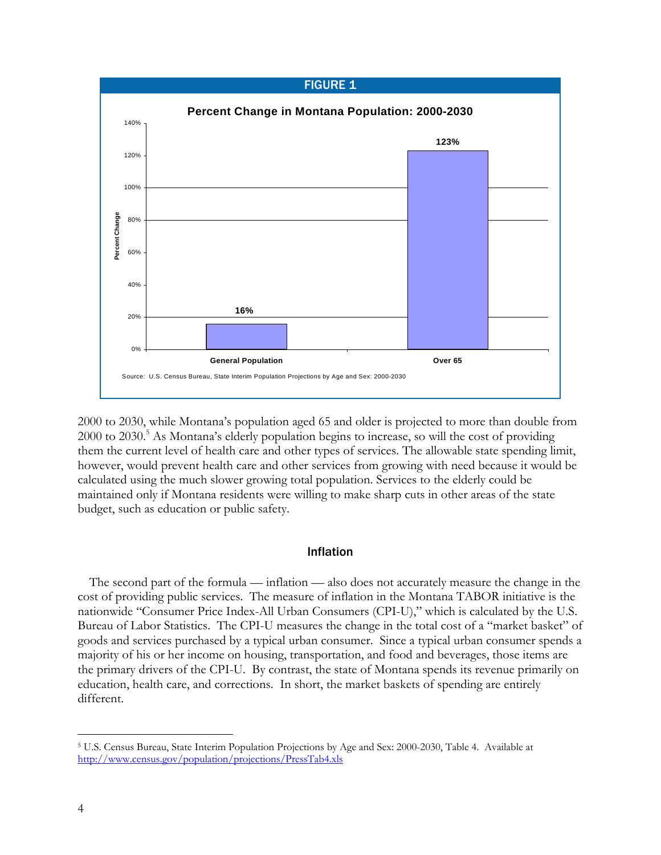

2000 to 2030, while Montana's population aged 65 and older is projected to more than double from 2000 to 2030.<sup>5</sup> As Montana's elderly population begins to increase, so will the cost of providing them the current level of health care and other types of services. The allowable state spending limit, however, would prevent health care and other services from growing with need because it would be calculated using the much slower growing total population. Services to the elderly could be maintained only if Montana residents were willing to make sharp cuts in other areas of the state budget, such as education or public safety.

## Inflation

The second part of the formula — inflation — also does not accurately measure the change in the cost of providing public services. The measure of inflation in the Montana TABOR initiative is the nationwide "Consumer Price Index-All Urban Consumers (CPI-U)," which is calculated by the U.S. Bureau of Labor Statistics. The CPI-U measures the change in the total cost of a "market basket" of goods and services purchased by a typical urban consumer. Since a typical urban consumer spends a majority of his or her income on housing, transportation, and food and beverages, those items are the primary drivers of the CPI-U. By contrast, the state of Montana spends its revenue primarily on education, health care, and corrections. In short, the market baskets of spending are entirely different.

-

<sup>5</sup> U.S. Census Bureau, State Interim Population Projections by Age and Sex: 2000-2030, Table 4. Available at http://www.census.gov/population/projections/PressTab4.xls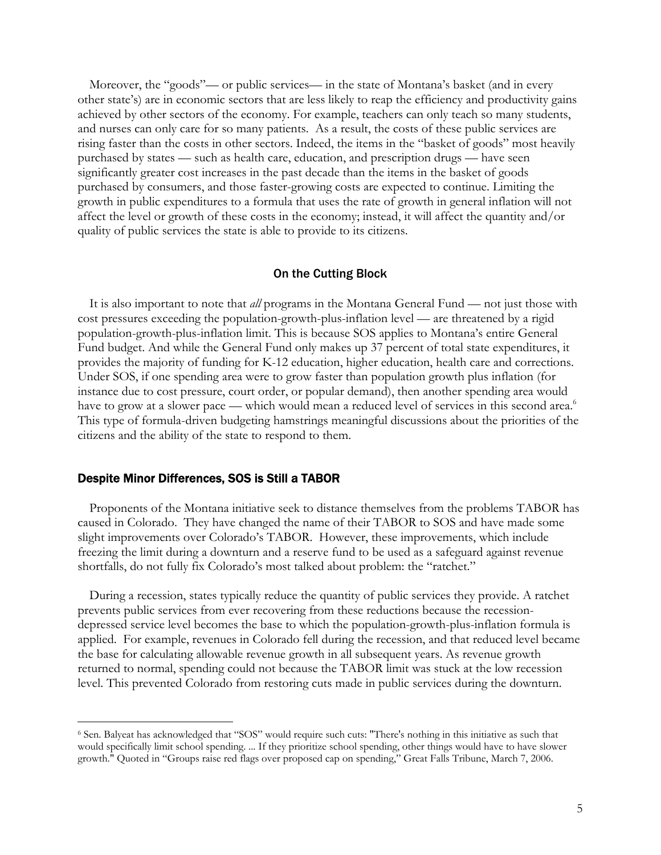Moreover, the "goods"— or public services— in the state of Montana's basket (and in every other state's) are in economic sectors that are less likely to reap the efficiency and productivity gains achieved by other sectors of the economy. For example, teachers can only teach so many students, and nurses can only care for so many patients. As a result, the costs of these public services are rising faster than the costs in other sectors. Indeed, the items in the "basket of goods" most heavily purchased by states — such as health care, education, and prescription drugs — have seen significantly greater cost increases in the past decade than the items in the basket of goods purchased by consumers, and those faster-growing costs are expected to continue. Limiting the growth in public expenditures to a formula that uses the rate of growth in general inflation will not affect the level or growth of these costs in the economy; instead, it will affect the quantity and/or quality of public services the state is able to provide to its citizens.

#### On the Cutting Block

It is also important to note that *all* programs in the Montana General Fund — not just those with cost pressures exceeding the population-growth-plus-inflation level — are threatened by a rigid population-growth-plus-inflation limit. This is because SOS applies to Montana's entire General Fund budget. And while the General Fund only makes up 37 percent of total state expenditures, it provides the majority of funding for K-12 education, higher education, health care and corrections. Under SOS, if one spending area were to grow faster than population growth plus inflation (for instance due to cost pressure, court order, or popular demand), then another spending area would have to grow at a slower pace — which would mean a reduced level of services in this second area.<sup>6</sup> This type of formula-driven budgeting hamstrings meaningful discussions about the priorities of the citizens and the ability of the state to respond to them.

#### Despite Minor Differences, SOS is Still a TABOR

-

Proponents of the Montana initiative seek to distance themselves from the problems TABOR has caused in Colorado. They have changed the name of their TABOR to SOS and have made some slight improvements over Colorado's TABOR. However, these improvements, which include freezing the limit during a downturn and a reserve fund to be used as a safeguard against revenue shortfalls, do not fully fix Colorado's most talked about problem: the "ratchet."

During a recession, states typically reduce the quantity of public services they provide. A ratchet prevents public services from ever recovering from these reductions because the recessiondepressed service level becomes the base to which the population-growth-plus-inflation formula is applied. For example, revenues in Colorado fell during the recession, and that reduced level became the base for calculating allowable revenue growth in all subsequent years. As revenue growth returned to normal, spending could not because the TABOR limit was stuck at the low recession level. This prevented Colorado from restoring cuts made in public services during the downturn.

<sup>6</sup> Sen. Balyeat has acknowledged that "SOS" would require such cuts: "There's nothing in this initiative as such that would specifically limit school spending. ... If they prioritize school spending, other things would have to have slower growth." Quoted in "Groups raise red flags over proposed cap on spending," Great Falls Tribune, March 7, 2006.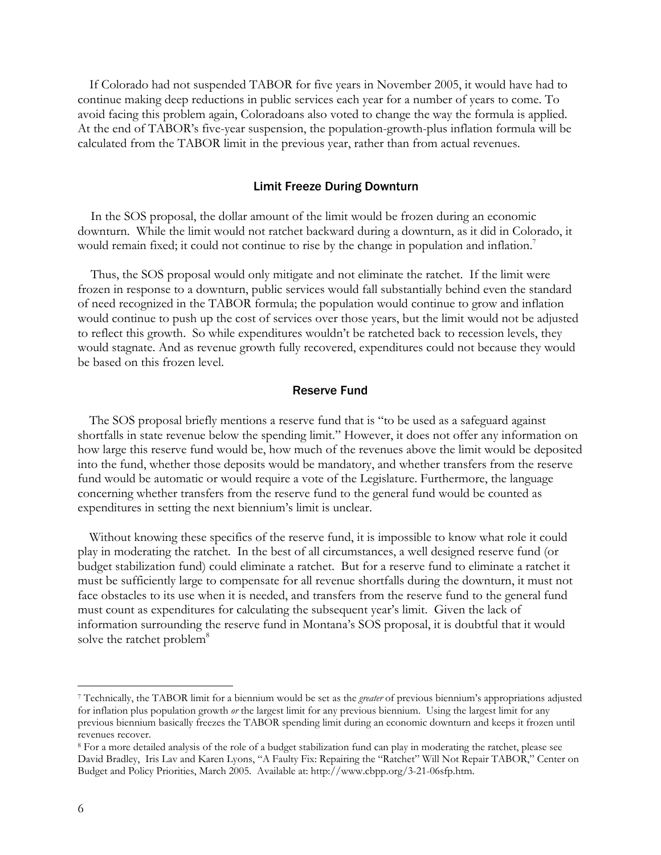If Colorado had not suspended TABOR for five years in November 2005, it would have had to continue making deep reductions in public services each year for a number of years to come. To avoid facing this problem again, Coloradoans also voted to change the way the formula is applied. At the end of TABOR's five-year suspension, the population-growth-plus inflation formula will be calculated from the TABOR limit in the previous year, rather than from actual revenues.

## Limit Freeze During Downturn

 In the SOS proposal, the dollar amount of the limit would be frozen during an economic downturn. While the limit would not ratchet backward during a downturn, as it did in Colorado, it would remain fixed; it could not continue to rise by the change in population and inflation.<sup>7</sup>

 Thus, the SOS proposal would only mitigate and not eliminate the ratchet. If the limit were frozen in response to a downturn, public services would fall substantially behind even the standard of need recognized in the TABOR formula; the population would continue to grow and inflation would continue to push up the cost of services over those years, but the limit would not be adjusted to reflect this growth. So while expenditures wouldn't be ratcheted back to recession levels, they would stagnate. And as revenue growth fully recovered, expenditures could not because they would be based on this frozen level.

#### Reserve Fund

 The SOS proposal briefly mentions a reserve fund that is "to be used as a safeguard against shortfalls in state revenue below the spending limit." However, it does not offer any information on how large this reserve fund would be, how much of the revenues above the limit would be deposited into the fund, whether those deposits would be mandatory, and whether transfers from the reserve fund would be automatic or would require a vote of the Legislature. Furthermore, the language concerning whether transfers from the reserve fund to the general fund would be counted as expenditures in setting the next biennium's limit is unclear.

 Without knowing these specifics of the reserve fund, it is impossible to know what role it could play in moderating the ratchet. In the best of all circumstances, a well designed reserve fund (or budget stabilization fund) could eliminate a ratchet. But for a reserve fund to eliminate a ratchet it must be sufficiently large to compensate for all revenue shortfalls during the downturn, it must not face obstacles to its use when it is needed, and transfers from the reserve fund to the general fund must count as expenditures for calculating the subsequent year's limit. Given the lack of information surrounding the reserve fund in Montana's SOS proposal, it is doubtful that it would solve the ratchet problem<sup>8</sup>

 $\overline{a}$ 

<sup>7</sup> Technically, the TABOR limit for a biennium would be set as the *greater* of previous biennium's appropriations adjusted for inflation plus population growth *or* the largest limit for any previous biennium. Using the largest limit for any previous biennium basically freezes the TABOR spending limit during an economic downturn and keeps it frozen until revenues recover.

<sup>8</sup> For a more detailed analysis of the role of a budget stabilization fund can play in moderating the ratchet, please see David Bradley, Iris Lav and Karen Lyons, "A Faulty Fix: Repairing the "Ratchet" Will Not Repair TABOR," Center on Budget and Policy Priorities, March 2005. Available at: http://www.cbpp.org/3-21-06sfp.htm.